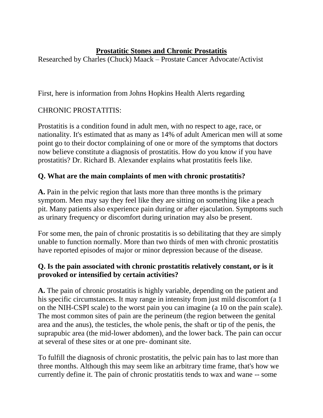## **Prostatitic Stones and Chronic Prostatitis**

Researched by Charles (Chuck) Maack – Prostate Cancer Advocate/Activist

First, here is information from Johns Hopkins Health Alerts regarding

# CHRONIC PROSTATITIS:

Prostatitis is a condition found in adult men, with no respect to age, race, or nationality. It's estimated that as many as 14% of adult American men will at some point go to their doctor complaining of one or more of the symptoms that doctors now believe constitute a diagnosis of prostatitis. How do you know if you have prostatitis? Dr. Richard B. Alexander explains what prostatitis feels like.

# **Q. What are the main complaints of men with chronic prostatitis?**

**A.** Pain in the pelvic region that lasts more than three months is the primary symptom. Men may say they feel like they are sitting on something like a peach pit. Many patients also experience pain during or after ejaculation. Symptoms such as urinary frequency or discomfort during urination may also be present.

For some men, the pain of chronic prostatitis is so debilitating that they are simply unable to function normally. More than two thirds of men with chronic prostatitis have reported episodes of major or minor depression because of the disease.

# **Q. Is the pain associated with chronic prostatitis relatively constant, or is it provoked or intensified by certain activities?**

**A.** The pain of chronic prostatitis is highly variable, depending on the patient and his specific circumstances. It may range in intensity from just mild discomfort (a 1 on the NIH-CSPI scale) to the worst pain you can imagine (a 10 on the pain scale). The most common sites of pain are the perineum (the region between the genital area and the anus), the testicles, the whole penis, the shaft or tip of the penis, the suprapubic area (the mid-lower abdomen), and the lower back. The pain can occur at several of these sites or at one pre- dominant site.

To fulfill the diagnosis of chronic prostatitis, the pelvic pain has to last more than three months. Although this may seem like an arbitrary time frame, that's how we currently define it. The pain of chronic prostatitis tends to wax and wane -- some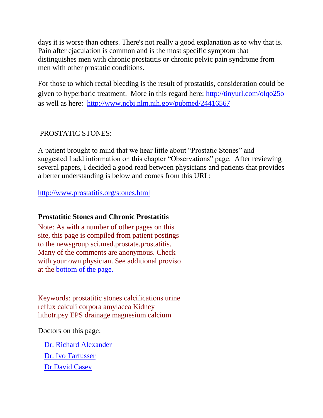days it is worse than others. There's not really a good explanation as to why that is. Pain after ejaculation is common and is the most specific symptom that distinguishes men with chronic prostatitis or chronic pelvic pain syndrome from men with other prostatic conditions.

For those to which rectal bleeding is the result of prostatitis, consideration could be given to hyperbaric treatment. More in this regard here:<http://tinyurl.com/olqo25o> as well as here: <http://www.ncbi.nlm.nih.gov/pubmed/24416567>

## PROSTATIC STONES:

A patient brought to mind that we hear little about "Prostatic Stones" and suggested I add information on this chapter "Observations" page. After reviewing several papers, I decided a good read between physicians and patients that provides a better understanding is below and comes from this URL:

<http://www.prostatitis.org/stones.html>

## **Prostatitic Stones and Chronic Prostatitis**

Note: As with a number of other pages on this site, this page is compiled from patient postings to the newsgroup sci.med.prostate.prostatitis. Many of the comments are anonymous. Check with your own physician. See additional proviso at the [bottom of the page.](http://www.prostatitis.org/stones.html#proviso)

Keywords: prostatitic stones calcifications urine reflux calculi corpora amylacea Kidney lithotripsy EPS drainage magnesium calcium

Doctors on this page:

- [Dr. Richard Alexander](http://www.prostatitis.org/stones.html#alex)
- [Dr. Ivo Tarfusser](http://www.prostatitis.org/stones.html#tarf)
- [Dr.David Casey](http://www.prostatitis.org/stones.html#casey)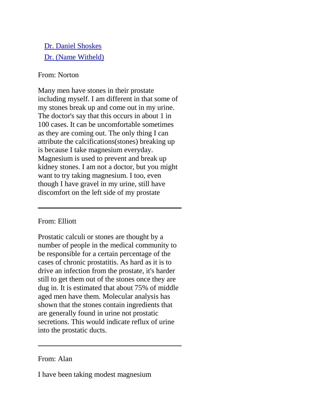- [Dr. Daniel Shoskes](http://www.prostatitis.org/stones.html#shoskes)
- [Dr. \(Name Witheld\)](http://www.prostatitis.org/stones.html#anondr)

### From: Norton

Many men have stones in their prostate including myself. I am different in that some of my stones break up and come out in my urine. The doctor's say that this occurs in about 1 in 100 cases. It can be uncomfortable sometimes as they are coming out. The only thing I can attribute the calcifications(stones) breaking up is because I take magnesium everyday. Magnesium is used to prevent and break up kidney stones. I am not a doctor, but you might want to try taking magnesium. I too, even though I have gravel in my urine, still have discomfort on the left side of my prostate

### From: Elliott

Prostatic calculi or stones are thought by a number of people in the medical community to be responsible for a certain percentage of the cases of chronic prostatitis. As hard as it is to drive an infection from the prostate, it's harder still to get them out of the stones once they are dug in. It is estimated that about 75% of middle aged men have them. Molecular analysis has shown that the stones contain ingredients that are generally found in urine not prostatic secretions. This would indicate reflux of urine into the prostatic ducts.

### From: Alan

I have been taking modest magnesium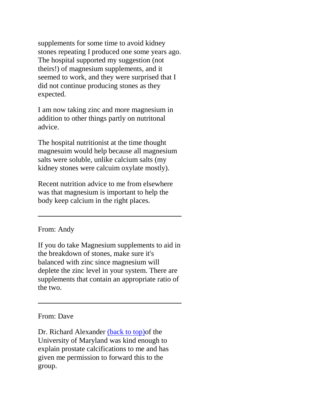supplements for some time to avoid kidney stones repeating I produced one some years ago. The hospital supported my suggestion (not theirs!) of magnesium supplements, and it seemed to work, and they were surprised that I did not continue producing stones as they expected.

I am now taking zinc and more magnesium in addition to other things partly on nutritonal advice.

The hospital nutritionist at the time thought magnesuim would help because all magnesium salts were soluble, unlike calcium salts (my kidney stones were calcuim oxylate mostly).

Recent nutrition advice to me from elsewhere was that magnesium is important to help the body keep calcium in the right places.

From: Andy

If you do take Magnesium supplements to aid in the breakdown of stones, make sure it's balanced with zinc since magnesium will deplete the zinc level in your system. There are supplements that contain an appropriate ratio of the two.

From: Dave

Dr. Richard Alexander [\(back to top\)o](http://www.prostatitis.org/stones.html#top)f the University of Maryland was kind enough to explain prostate calcifications to me and has given me permission to forward this to the group.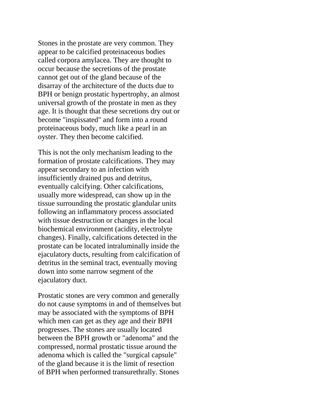Stones in the prostate are very common. They appear to be calcified proteinaceous bodies called corpora amylacea. They are thought to occur because the secretions of the prostate cannot get out of the gland because of the disarray of the architecture of the ducts due to BPH or benign prostatic hypertrophy, an almost universal growth of the prostate in men as they age. It is thought that these secretions dry out or become "inspissated" and form into a round proteinaceous body, much like a pearl in an oyster. They then become calcified.

This is not the only mechanism leading to the formation of prostate calcifications. They may appear secondary to an infection with insufficiently drained pus and detritus, eventually calcifying. Other calcifications, usually more widespread, can show up in the tissue surrounding the prostatic glandular units following an inflammatory process associated with tissue destruction or changes in the local biochemical environment (acidity, electrolyte changes). Finally, calcifications detected in the prostate can be located intraluminally inside the ejaculatory ducts, resulting from calcification of detritus in the seminal tract, eventually moving down into some narrow segment of the ejaculatory duct.

Prostatic stones are very common and generally do not cause symptoms in and of themselves but may be associated with the symptoms of BPH which men can get as they age and their BPH progresses. The stones are usually located between the BPH growth or "adenoma" and the compressed, normal prostatic tissue around the adenoma which is called the "surgical capsule" of the gland because it is the limit of resection of BPH when performed transurethrally. Stones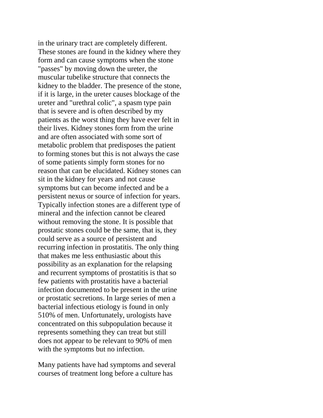in the urinary tract are completely different. These stones are found in the kidney where they form and can cause symptoms when the stone "passes" by moving down the ureter, the muscular tubelike structure that connects the kidney to the bladder. The presence of the stone, if it is large, in the ureter causes blockage of the ureter and "urethral colic", a spasm type pain that is severe and is often described by my patients as the worst thing they have ever felt in their lives. Kidney stones form from the urine and are often associated with some sort of metabolic problem that predisposes the patient to forming stones but this is not always the case of some patients simply form stones for no reason that can be elucidated. Kidney stones can sit in the kidney for years and not cause symptoms but can become infected and be a persistent nexus or source of infection for years. Typically infection stones are a different type of mineral and the infection cannot be cleared without removing the stone. It is possible that prostatic stones could be the same, that is, they could serve as a source of persistent and recurring infection in prostatitis. The only thing that makes me less enthusiastic about this possibility as an explanation for the relapsing and recurrent symptoms of prostatitis is that so few patients with prostatitis have a bacterial infection documented to be present in the urine or prostatic secretions. In large series of men a bacterial infectious etiology is found in only 510% of men. Unfortunately, urologists have concentrated on this subpopulation because it represents something they can treat but still does not appear to be relevant to 90% of men with the symptoms but no infection.

Many patients have had symptoms and several courses of treatment long before a culture has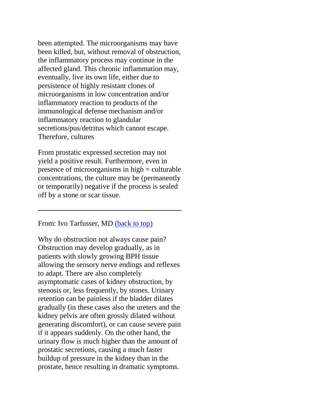been attempted. The microorganisms may have been killed, but, without removal of obstruction, the inflammatory process may continue in the affected gland. This chronic inflammation may, eventually, live its own life, either due to persistence of highly resistant clones of microorganisms in low concentration and/or inflammatory reaction to products of the immunological defense mechanism and/or inflammatory reaction to glandular secretions/pus/detritus which cannot escape. Therefore, cultures

From prostatic expressed secretion may not yield a positive result. Furthermore, even in presence of microorganisms in high = culturable concentrations, the culture may be (permanently or temporarily) negative if the process is sealed off by a stone or scar tissue.

From: Ivo Tarfusser, MD [\(back to top\)](http://www.prostatitis.org/stones.html#top) 

Why do obstruction not always cause pain? Obstruction may develop gradually, as in patients with slowly growing BPH tissue allowing the sensory nerve endings and reflexes to adapt. There are also completely asymptomatic cases of kidney obstruction, by stenosis or, less frequently, by stones. Urinary retention can be painless if the bladder dilates gradually (in these cases also the ureters and the kidney pelvis are often grossly dilated without generating discomfort), or can cause severe pain if it appears suddenly. On the other hand, the urinary flow is much higher than the amount of prostatic secretions, causing a much faster buildup of pressure in the kidney than in the prostate, hence resulting in dramatic symptoms.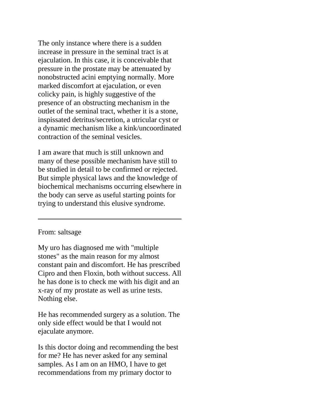The only instance where there is a sudden increase in pressure in the seminal tract is at ejaculation. In this case, it is conceivable that pressure in the prostate may be attenuated by nonobstructed acini emptying normally. More marked discomfort at ejaculation, or even colicky pain, is highly suggestive of the presence of an obstructing mechanism in the outlet of the seminal tract, whether it is a stone, inspissated detritus/secretion, a utricular cyst or a dynamic mechanism like a kink/uncoordinated contraction of the seminal vesicles.

I am aware that much is still unknown and many of these possible mechanism have still to be studied in detail to be confirmed or rejected. But simple physical laws and the knowledge of biochemical mechanisms occurring elsewhere in the body can serve as useful starting points for trying to understand this elusive syndrome.

#### From: saltsage

My uro has diagnosed me with "multiple stones" as the main reason for my almost constant pain and discomfort. He has prescribed Cipro and then Floxin, both without success. All he has done is to check me with his digit and an x-ray of my prostate as well as urine tests. Nothing else.

He has recommended surgery as a solution. The only side effect would be that I would not ejaculate anymore.

Is this doctor doing and recommending the best for me? He has never asked for any seminal samples. As I am on an HMO, I have to get recommendations from my primary doctor to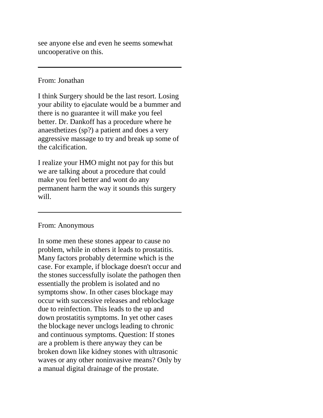see anyone else and even he seems somewhat uncooperative on this.

#### From: Jonathan

I think Surgery should be the last resort. Losing your ability to ejaculate would be a bummer and there is no guarantee it will make you feel better. Dr. Dankoff has a procedure where he anaesthetizes (sp?) a patient and does a very aggressive massage to try and break up some of the calcification.

I realize your HMO might not pay for this but we are talking about a procedure that could make you feel better and wont do any permanent harm the way it sounds this surgery will.

### From: Anonymous

In some men these stones appear to cause no problem, while in others it leads to prostatitis. Many factors probably determine which is the case. For example, if blockage doesn't occur and the stones successfully isolate the pathogen then essentially the problem is isolated and no symptoms show. In other cases blockage may occur with successive releases and reblockage due to reinfection. This leads to the up and down prostatitis symptoms. In yet other cases the blockage never unclogs leading to chronic and continuous symptoms. Question: If stones are a problem is there anyway they can be broken down like kidney stones with ultrasonic waves or any other noninvasive means? Only by a manual digital drainage of the prostate.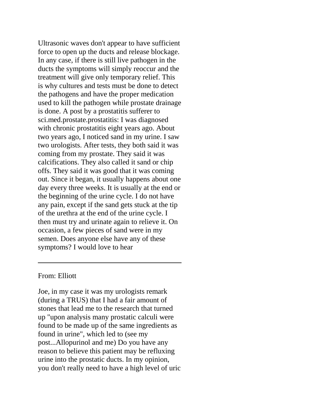Ultrasonic waves don't appear to have sufficient force to open up the ducts and release blockage. In any case, if there is still live pathogen in the ducts the symptoms will simply reoccur and the treatment will give only temporary relief. This is why cultures and tests must be done to detect the pathogens and have the proper medication used to kill the pathogen while prostate drainage is done. A post by a prostatitis sufferer to sci.med.prostate.prostatitis: I was diagnosed with chronic prostatitis eight years ago. About two years ago, I noticed sand in my urine. I saw two urologists. After tests, they both said it was coming from my prostate. They said it was calcifications. They also called it sand or chip offs. They said it was good that it was coming out. Since it began, it usually happens about one day every three weeks. It is usually at the end or the beginning of the urine cycle. I do not have any pain, except if the sand gets stuck at the tip of the urethra at the end of the urine cycle. I then must try and urinate again to relieve it. On occasion, a few pieces of sand were in my semen. Does anyone else have any of these symptoms? I would love to hear

### From: Elliott

Joe, in my case it was my urologists remark (during a TRUS) that I had a fair amount of stones that lead me to the research that turned up "upon analysis many prostatic calculi were found to be made up of the same ingredients as found in urine", which led to (see my post...Allopurinol and me) Do you have any reason to believe this patient may be refluxing urine into the prostatic ducts. In my opinion, you don't really need to have a high level of uric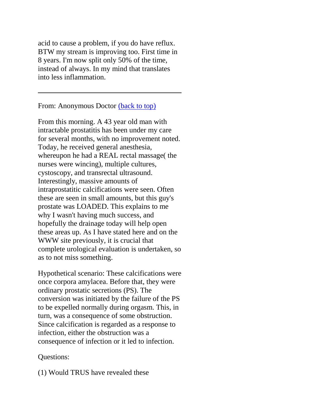acid to cause a problem, if you do have reflux. BTW my stream is improving too. First time in 8 years. I'm now split only 50% of the time, instead of always. In my mind that translates into less inflammation.

From: Anonymous Doctor [\(back to top\)](http://www.prostatitis.org/stones.html#top)

From this morning. A 43 year old man with intractable prostatitis has been under my care for several months, with no improvement noted. Today, he received general anesthesia, whereupon he had a REAL rectal massage( the nurses were wincing), multiple cultures, cystoscopy, and transrectal ultrasound. Interestingly, massive amounts of intraprostatitic calcifications were seen. Often these are seen in small amounts, but this guy's prostate was LOADED. This explains to me why I wasn't having much success, and hopefully the drainage today will help open these areas up. As I have stated here and on the WWW site previously, it is crucial that complete urological evaluation is undertaken, so as to not miss something.

Hypothetical scenario: These calcifications were once corpora amylacea. Before that, they were ordinary prostatic secretions (PS). The conversion was initiated by the failure of the PS to be expelled normally during orgasm. This, in turn, was a consequence of some obstruction. Since calcification is regarded as a response to infection, either the obstruction was a consequence of infection or it led to infection.

### Questions:

(1) Would TRUS have revealed these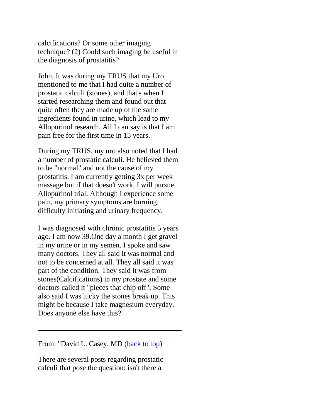calcifications? Or some other imaging technique? (2) Could such imaging be useful in the diagnosis of prostatitis?

John, It was during my TRUS that my Uro mentioned to me that I had quite a number of prostatic calculi (stones), and that's when I started researching them and found out that quite often they are made up of the same ingredients found in urine, which lead to my Allopurinol research. All I can say is that I am pain free for the first time in 15 years.

During my TRUS, my uro also noted that I had a number of prostatic calculi. He believed them to be "normal" and not the cause of my prostatitis. I am currently getting 3x per week massage but if that doesn't work, I will pursue Allopurinol trial. Although I experience some pain, my primary symptoms are burning, difficulty initiating and urinary frequency.

I was diagnosed with chronic prostatitis 5 years ago. I am now 39.One day a month I get gravel in my urine or in my semen. I spoke and saw many doctors. They all said it was normal and not to be concerned at all. They all said it was part of the condition. They said it was from stones(Calcifications) in my prostate and some doctors called it "pieces that chip off". Some also said I was lucky the stones break up. This might be because I take magnesium everyday. Does anyone else have this?

From: "David L. Casey, MD [\(back to top\)](http://www.prostatitis.org/stones.html#top)

There are several posts regarding prostatic calculi that pose the question: isn't there a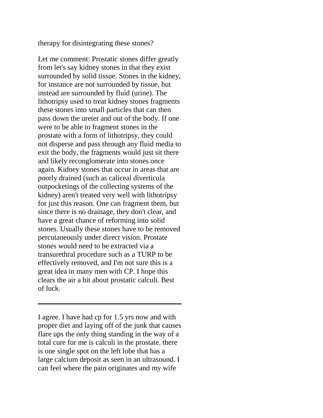therapy for disintegrating these stones?

Let me comment: Prostatic stones differ greatly from let's say kidney stones in that they exist surrounded by solid tissue. Stones in the kidney, for instance are not surrounded by tissue, but instead are surrounded by fluid (urine). The lithotripsy used to treat kidney stones fragments these stones into small particles that can then pass down the ureter and out of the body. If one were to be able to fragment stones in the prostate with a form of lithotripsy, they could not disperse and pass through any fluid media to exit the body, the fragments would just sit there and likely reconglomerate into stones once again. Kidney stones that occur in areas that are poorly drained (such as caliceal diverticula outpocketings of the collecting systems of the kidney) aren't treated very well with lithotripsy for just this reason. One can fragment them, but since there is no drainage, they don't clear, and have a great chance of reforming into solid stones. Usually these stones have to be removed percutaneously under direct vision. Prostate stones would need to be extracted via a transurethral procedure such as a TURP to be effectively removed, and I'm not sure this is a great idea in many men with CP. I hope this clears the air a bit about prostatic calculi. Best of luck.

I agree. I have had cp for 1.5 yrs now and with proper diet and laying off of the junk that causes flare ups the only thing standing in the way of a total cure for me is calculi in the prostate. there is one single spot on the left lobe that has a large calcium deposit as seen in an ultrasound. I can feel where the pain originates and my wife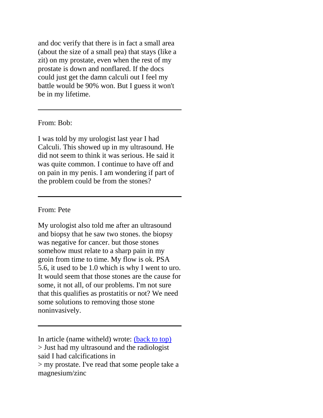and doc verify that there is in fact a small area (about the size of a small pea) that stays (like a zit) on my prostate, even when the rest of my prostate is down and nonflared. If the docs could just get the damn calculi out I feel my battle would be 90% won. But I guess it won't be in my lifetime.

#### From: Bob:

I was told by my urologist last year I had Calculi. This showed up in my ultrasound. He did not seem to think it was serious. He said it was quite common. I continue to have off and on pain in my penis. I am wondering if part of the problem could be from the stones?

#### From: Pete

My urologist also told me after an ultrasound and biopsy that he saw two stones. the biopsy was negative for cancer. but those stones somehow must relate to a sharp pain in my groin from time to time. My flow is ok. PSA 5.6, it used to be 1.0 which is why I went to uro. It would seem that those stones are the cause for some, it not all, of our problems. I'm not sure that this qualifies as prostatitis or not? We need some solutions to removing those stone noninvasively.

In article (name witheld) wrote: [\(back to top\)](http://www.prostatitis.org/stones.html#top) > Just had my ultrasound and the radiologist said I had calcifications in > my prostate. I've read that some people take a magnesium/zinc